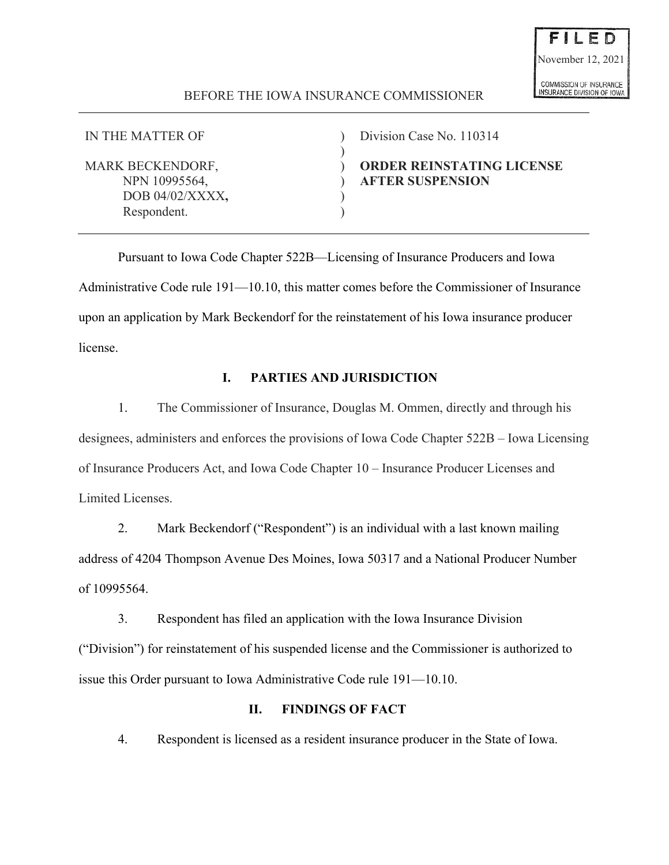# - E D November 12, 2021COMMISSION OF INSURANCE

**NSURANCE DIVISION OF IOWA** 

# BEFORE THE IOWA INSURANCE COMMISSIONER

)

DOB 04/02/XXXX. Respondent.

IN THE MATTER OF ) Division Case No. 110314

MARK BECKENDORF,  $\qquad \qquad$  **ORDER REINSTATING LICENSE** NPN 10995564, ) **AFTER SUSPENSION** 

Pursuant to Iowa Code Chapter 522B—Licensing of Insurance Producers and Iowa Administrative Code rule 191—10.10, this matter comes before the Commissioner of Insurance upon an application by Mark Beckendorf for the reinstatement of his Iowa insurance producer license.

# **I. PARTIES AND JURISDICTION**

1. The Commissioner of Insurance, Douglas M. Ommen, directly and through his designees, administers and enforces the provisions of Iowa Code Chapter 522B – Iowa Licensing of Insurance Producers Act, and Iowa Code Chapter 10 – Insurance Producer Licenses and Limited Licenses.

2. Mark Beckendorf ("Respondent") is an individual with a last known mailing address of 4204 Thompson Avenue Des Moines, Iowa 50317 and a National Producer Number of 10995564.

3. Respondent has filed an application with the Iowa Insurance Division ("Division") for reinstatement of his suspended license and the Commissioner is authorized to issue this Order pursuant to Iowa Administrative Code rule 191—10.10.

# **II. FINDINGS OF FACT**

4. Respondent is licensed as a resident insurance producer in the State of Iowa.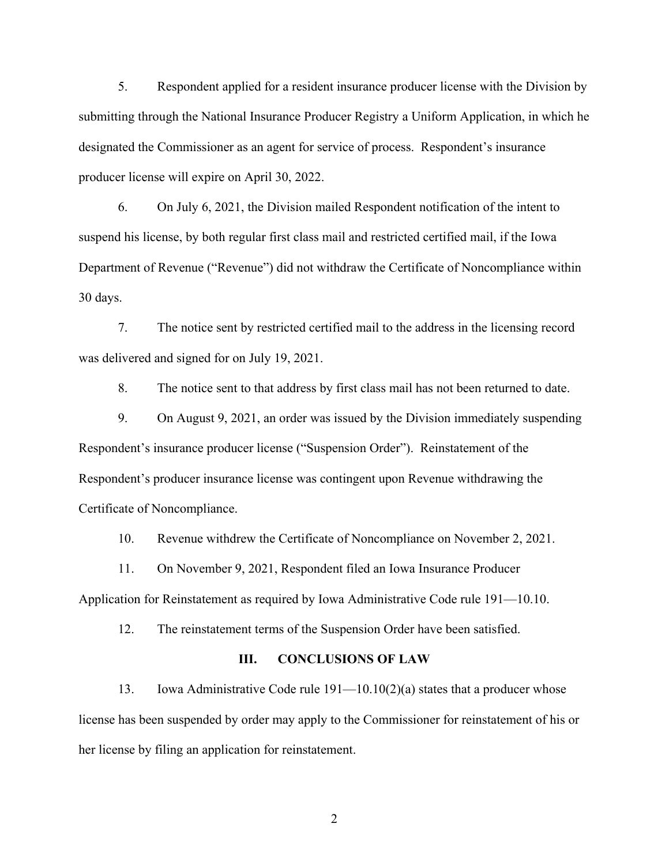5. Respondent applied for a resident insurance producer license with the Division by submitting through the National Insurance Producer Registry a Uniform Application, in which he designated the Commissioner as an agent for service of process. Respondent's insurance producer license will expire on April 30, 2022.

6. On July 6, 2021, the Division mailed Respondent notification of the intent to suspend his license, by both regular first class mail and restricted certified mail, if the Iowa Department of Revenue ("Revenue") did not withdraw the Certificate of Noncompliance within 30 days.

7. The notice sent by restricted certified mail to the address in the licensing record was delivered and signed for on July 19, 2021.

8. The notice sent to that address by first class mail has not been returned to date.

9. On August 9, 2021, an order was issued by the Division immediately suspending Respondent's insurance producer license ("Suspension Order"). Reinstatement of the Respondent's producer insurance license was contingent upon Revenue withdrawing the Certificate of Noncompliance.

10. Revenue withdrew the Certificate of Noncompliance on November 2, 2021.

11. On November 9, 2021, Respondent filed an Iowa Insurance Producer

Application for Reinstatement as required by Iowa Administrative Code rule 191—10.10.

12. The reinstatement terms of the Suspension Order have been satisfied.

#### **III. CONCLUSIONS OF LAW**

13. Iowa Administrative Code rule 191—10.10(2)(a) states that a producer whose license has been suspended by order may apply to the Commissioner for reinstatement of his or her license by filing an application for reinstatement.

2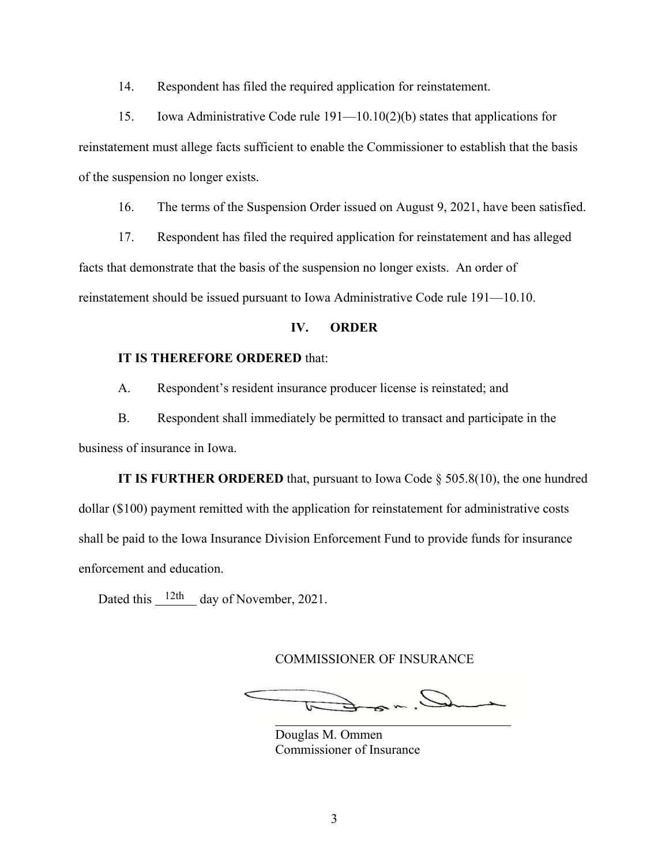14. Respondent has filed the required application for reinstatement.

15. Iowa Administrative Code rule 191—10.10(2)(b) states that applications for reinstatement must allege facts sufficient to enable the Commissioner to establish that the basis of the suspension no longer exists.

16. The terms of the Suspension Order issued on August 9, 2021, have been satisfied.

17. Respondent has filed the required application for reinstatement and has alleged facts that demonstrate that the basis of the suspension no longer exists. An order of reinstatement should be issued pursuant to Iowa Administrative Code rule 191—10.10.

## **IV. ORDER**

## **IT IS THEREFORE ORDERED** that:

A. Respondent's resident insurance producer license is reinstated; and

B. Respondent shall immediately be permitted to transact and participate in the business of insurance in Iowa.

**IT IS FURTHER ORDERED** that, pursuant to Iowa Code § 505.8(10), the one hundred dollar (\$100) payment remitted with the application for reinstatement for administrative costs shall be paid to the Iowa Insurance Division Enforcement Fund to provide funds for insurance enforcement and education.

Dated this  $\frac{12\text{th}}{12\text{th}}$  day of November, 2021.

COMMISSIONER OF INSURANCE

 $Q_{\text{max}}$ 

Douglas M. Ommen Commissioner of Insurance